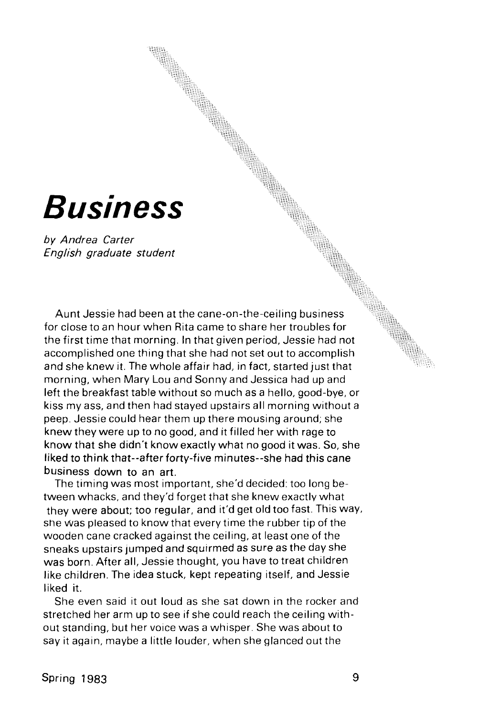## **Business**

by Andrea Carter English graduate student

Aunt Jessie had been at the cane-on-the-ceiling business for close to an hour when Rita came to share her troubles for the first time that morning. In that given period, Jessie had not accomplished one thing that she had not set out to accomplish and she knew it. The whole affair had, in fact, started just that morning, when Mary Lou and Sonny and Jessica had up and left the breakfast table without so much as a hello, good-bye, or kiss my ass, and then had stayed upstairs all morning without a peep. Jessie could hear them up there mousing around; she knew they were up to no good, and it filled her with rage to know that she didn't know exactly what no good it was. So, she liked to think that--after forty-five minutes--she had this cane business down to an art.

The timing was most important, she'd decided: too long between whacks, and they'd forget that she knew exactly what they were about; too regular, and it'd get old too fast. This way, sne was pleased to know that every time the rubber tip of the wooden cane cracked against the ceiling, at least one of the sneaks upstairs jumped and squirmed as sure as the day she was born. After all, Jessie thought, you have to treat children like children. The idea stuck, kept repeating itself, and Jessie liked it.

She even said it out loud as she sat down in the rocker and stretched her arm up to see if she could reach the ceiling without standing, but her voice was a whisper. She was about to say it again, maybe a little louder, when she glanced out the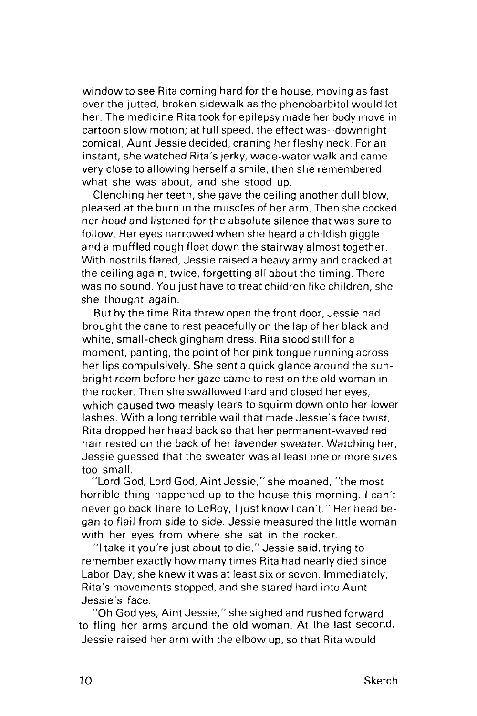window to see Rita coming hard for the house, moving as fast over the jutted, broken sidewalk as the phenobarbitol would let her. The medicine Rita took for epilepsy made her body move in cartoon slow motion; at full speed, the effect was--downright comical, Aunt Jessie decided, craning her fleshy neck. For an instant, she watched Rita's jerky, wade-water walk and came very close to allowing herself a smile; then she remembered what she was about, and she stood up.

Clenching her teeth, she gave the ceiling another dull blow, pleased at the burn in the muscles of her arm. Then she cocked her head and listened for the absolute silence that was sure to follow. Her eyes narrowed when she heard a childish giggle and a muffled cough float down the stairway almost together. With nostrils flared, Jessie raised a heavy army and cracked at the ceiling again, twice, forgetting all about the timing. There was no sound. You just have to treat children like children, she she thought again.

But by the time Rita threw open the front door, Jessie had brought the cane to rest peacefully on the lap of her black and white, small-check gingham dress. Rita stood still for a moment, panting, the point of her pink tongue running across her lips compulsively. She sent a quick glance around the sunbright room before her gaze came to rest on the old woman in the rocker. Then she swallowed hard and closed her eyes, which caused two measly tears to squirm down onto her lower lashes. With a long terrible wail that made Jessie's face twist, Rita dropped her head back so that her permanent-waved red hair rested on the back of her lavender sweater. Watching her, Jessie guessed that the sweater was at least one or more sizes too small.

"Lord God, Lord God, Aint Jessie," she moaned, "the most horrible thing happened up to the house this morning. I can't never go back there to LeRoy, I just know I can't." Her head began to flail from side to side. Jessie measured the little woman with her eyes from where she sat in the rocker.

"I take it you're just about to die," Jessie said, trying to remember exactly how many times Rita had nearly died since Labor Day; she knew it was at least six or seven. Immediately, Rita's movements stopped, and she stared hard into Aunt Jessie's face.

"Oh God yes, Aint Jessie," she sighed and rushed forward to fling her arms around the old woman. At the last second, Jessie raised her arm with the elbow up, so that Rita would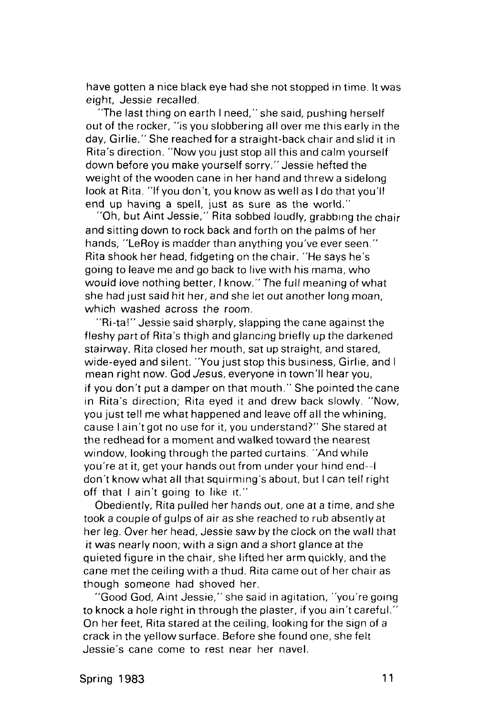have gotten a nice black eye had she not stopped in time. It was eight, Jessie recalled.

"The last thing on earth I need," she said, pushing herself out of the rocker, "is you slobbering all over me this early in the day, Girlie." She reached for a straight-back chair and slid it in Rita's direction. "Now you just stop all this and calm yourself down before you make yourself sorry." Jessie hefted the weight of the wooden cane in her hand and threw a sidelong look at Rita. "If you don't, you know as well as I do that you'll end up having a spell, just as sure as the world."

"Oh, but Aint Jessie," Rita sobbed loudly, grabbing the chair and sitting down to rock back and forth on the palms of her hands, "LeRoy is madder than anything you've ever seen." Rita shook her head, fidgeting on the chair. "He says he's going to leave me and go back to live with his mama, who would love nothing better, I know." The full meaning of what she had just said hit her, and she let out another long moan, which washed across the room.

"Ri-ta!" Jessie said sharply, slapping the cane against the fleshy part of Rita's thigh and glancing briefly up the darkened stairway. Rita closed her mouth, sat up straight, and stared, wide-eyed and silent. "You just stop this business, Girlie, and I mean right now. God Jesus, everyone in town'll hear you, if you don't put a damper on that mouth." She pointed the cane in Rita's direction; Rita eyed it and drew back slowly. "Now, you just tell me what happened and leave off all the whining, cause I ain't got no use for it, you understand?" She stared at the redhead for a moment and walked toward the nearest window, looking through the parted curtains. "And while you're at it, get your hands out from under your hind end--l don't know what all that squirming's about, but I can tell right off that I ain't going to like it."

Obediently, Rita pulled her hands out, one at a time, and she took a couple of gulps of air as she reached to rub absently at her leg. Over her head, Jessie saw by the clock on the wall that it was nearly noon; with a sign and a short glance at the quieted figure in the chair, she lifted her arm quickly, and the cane met the ceiling with a thud. Rita came out of her chair as though someone had shoved her.

"Good God, Aint Jessie," she said in agitation, "you're going to knock a hole right in through the plaster, if you ain't careful." On her feet, Rita stared at the ceiling, looking for the sign of a crack in the yellow surface. Before she found one, she felt Jessie's cane come to rest near her navel.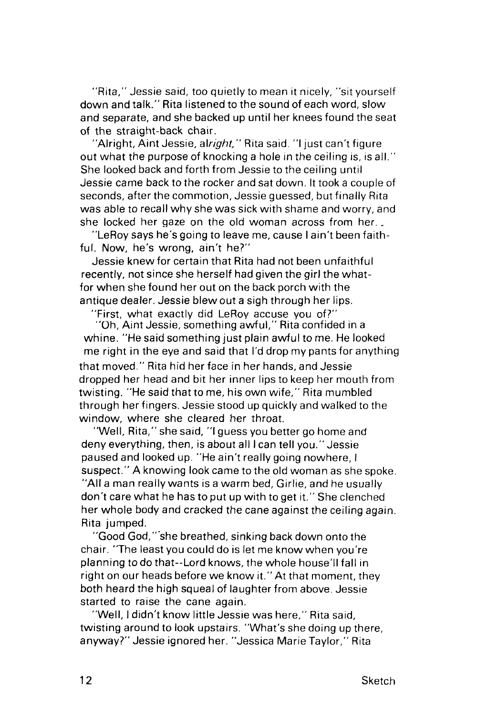"Rita," Jessie said, too quietly to mean it nicely, "sit yourself down and talk." Rita listened to the sound of each word, slow and separate, and she backed up until her knees found the seat of the straight-back chair.

'Alright, Aint Jessie, alright,'' Rita said. ''I just can't figure out what the purpose of knocking a hole in the ceiling is, is all." She looked back and forth from Jessie to the ceiling until Jessie came back to the rocker and sat down. It took a couple of seconds, after the commotion, Jessie guessed, but finally Rita was able to recall why she was sick with shame and worry, and she locked her gaze on the old woman across from her. .

"LeRoy says he's going to leave me, cause I ain't been faithful. Now, he's wrong, ain't he?"

Jessie knew for certain that Rita had not been unfaithful recently, not since she herself had given the girl the whatfor when she found her out on the back porch with the antique dealer. Jessie blewout a sigh through her lips.

"First, what exactly did LeRoy accuse you of?"

"Oh, Aint Jessie, something awful," Rita confided in a whine. "He said something just plain awful to me. He looked me right in the eye and said that I'd drop my pants for anything that moved." Rita hid her face in her hands, and Jessie dropped her head and bit her inner lips to keep her mouth from twisting. "He said that to me, his own wife," Rita mumbled through her fingers. Jessie stood up quickly and walked to the window, where she cleared her throat.

"Well, Rita," she said, "I guess you better go home and deny everything, then, is about all I can tell you." Jessie paused and looked up. "He ain't really going nowhere, I suspect." A knowing look came to the old woman as she spoke. "All a man really wants is a warm bed, Girlie, and he usually don't care what he has to put up with to get it." She clenched her whole body and cracked the cane against the ceiling again. Rita jumped.

"Good God,""she breathed, sinking back down onto the chair. "The least you could do is let me know when you're planning to do that--Lord knows, the whole house'll fall in right on our heads before we know it." At that moment, they both heard the high squeal of laughter from above. Jessie started to raise the cane again.

"Well, I didn't know little Jessie was here," Rita said, twisting around to look upstairs. "What's she doing up there, anyway?" Jessie ignored her. "Jessica Marie Taylor," Rita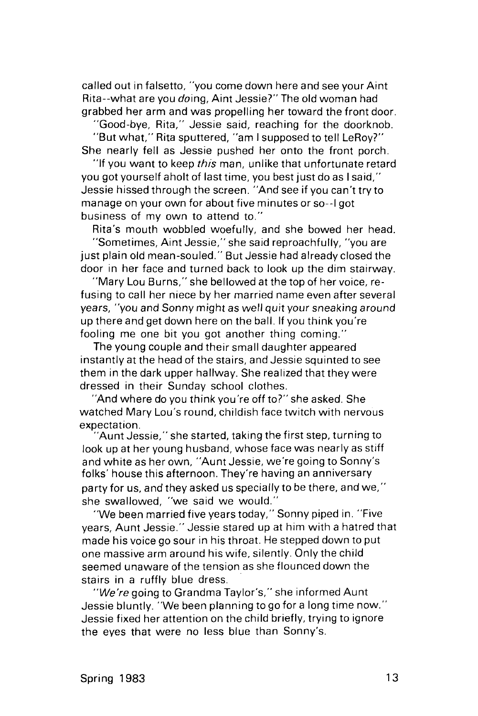called out in falsetto, "you come down here and see your Aint Rita--what are you doing, Aint Jessie?" The old woman had grabbed her arm and was propelling her toward the front door.

"Good-bye, Rita," Jessie said, reaching for the doorknob.

"But what," Rita sputtered, "am I supposed to tell LeRoy?" She nearly fell as Jessie pushed her onto the front porch.

"If you want to keep *this* man, unlike that unfortunate retard you got yourself aholt of last time, you best just do as I said," Jessie hissed through the screen. "And see if you can't try to manage on your own for about five minutes or so--l got business of my own to attend to."

Rita's mouth wobbled woefully, and she bowed her head. "Sometimes, Aint Jessie," she said reproachfully, "you are just plain old mean-souled." But Jessie had already closed the door in her face and turned back to look up the dim stairway.

"Mary Lou Burns," she bellowed at the top of her voice, refusing to call her niece by her married name even after several years, "you and Sonny might as well quit your sneaking around up there and get down here on the ball. If you think you're fooling me one bit you got another thing coming."

The young couple and their small daughter appeared instantly at the head of the stairs, and Jessie squinted to see them in the dark upper hallway. She realized that they were dressed in their Sunday school clothes.

"And where do you think you're off to?" she asked. She watched Mary Lou's round, childish face twitch with nervous expectation.

"Aunt Jessie," she started, taking the first step, turning to look up at her young husband, whose face was nearly as stiff and white as her own, "Aunt Jessie, we're going to Sonny's folks' house this afternoon. They're having an anniversary party for us, and they asked us specially to be there, and we," she swallowed, "we said we would."

"We been married five years today," Sonny piped in. "Five years. Aunt Jessie." Jessie stared up at him with a hatred that made his voice go sour in his throat. He stepped down to put one massive arm around his wife, silently. Only the child seemed unaware of the tension as she flounced down the stairs in a ruffly blue dress.

"We're going to Grandma Taylor's," she informed Aunt Jessie bluntly. "We been planning to go for a long time now." Jessie fixed her attention on the child briefly, trying to ignore the eyes that were no less blue than Sonny's.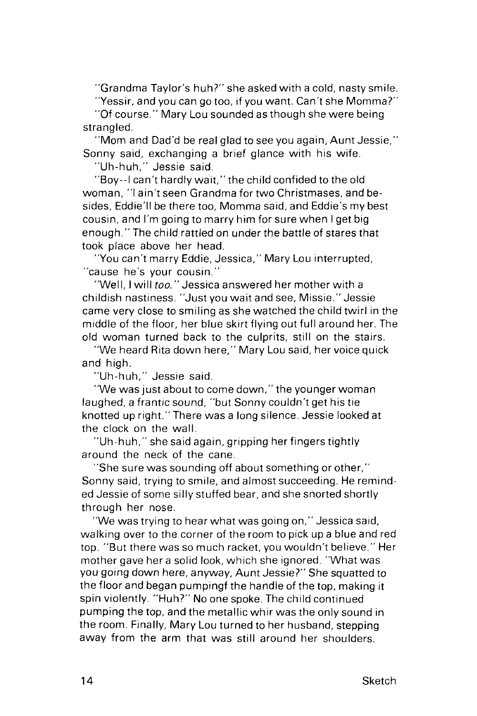"Grandma Taylor's huh?" she asked with a cold, nasty smile.

"Yessir, and you can go too, if you want. Can't she Momma?" "Of course." Mary Lou sounded as though she were being strangled.

"Mom and Dad'd be real glad to see you again, Aunt Jessie," Sonny said, exchanging a brief glance with his wife.

"Uh-huh," Jessie said.

"Boy--l can't hardly wait," the child confided to the old woman, "I ain't seen Grandma for two Christmases, and besides, Eddie'll be there too, Momma said, and Eddie's my best cousin, and I'm going to marry him for sure when I get big enough." The child rattled on under the battle of stares that took place above her head.

"You can't marry Eddie, Jessica," Mary Lou interrupted, "cause he's your cousin."

"Well, I will too." Jessica answered her mother with a childish nastiness. "Just you wait and see, Missie." Jessie came very close to smiling as she watched the child twirl in the middle of the floor, her blue skirt flying out full around her. The old woman turned back to the culprits, still on the stairs.

"We heard Rita down here," Mary Lou said, her voice quick and high.

"Uh-huh," Jessie said.

"We was just about to come down," the younger woman laughed, a frantic sound, "but Sonny couldn't get his tie knotted up right." There was a long silence. Jessie looked at the clock on the wall.

"Uh-huh," she said again, gripping her fingers tightly around the neck of the cane.

"She sure was sounding off about something or other," Sonny said, trying to smile, and almost succeeding. He reminded Jessie of some silly stuffed bear, and she snorted shortly through her nose.

"We was trying to hear what was going on," Jessica said, walking over to the corner of the room to pick up a blue and red top. "But there was so much racket, you wouldn't believe." Her mother gave her a solid look, which she ignored. "What was you going down here, anyway, Aunt Jessie?" She squatted to the floor and began pumpingf the handle of the top, making it spin violently. "Huh?" No one spoke. The child continued pumping the top, and the metallic whir was the only sound in the room. Finally, Mary Lou turned to her husband, stepping away from the arm that was still around her shoulders.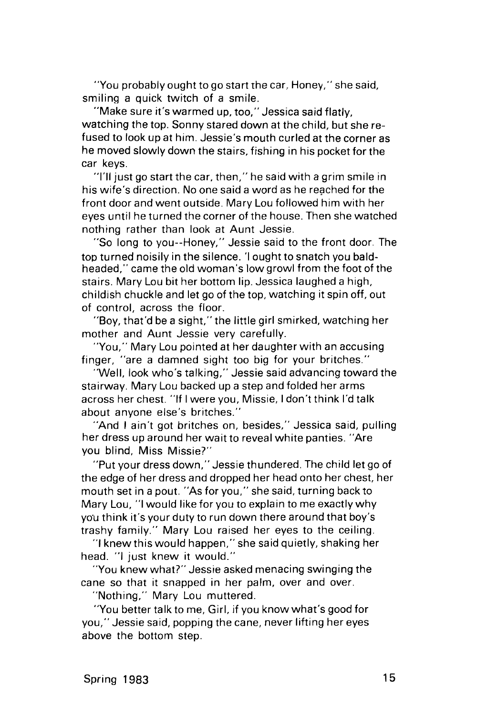"You probably ought to go start the car. Honey," she said, smiling a quick twitch of a smile.

"Make sure it's warmed up, too," Jessica said flatly, watching the top. Sonny stared down at the child, but she refused to look up at him. Jessie's mouth curled at the corner as he moved slowly down the stairs, fishing in his pocket for the car keys.

"I'll just go start the car, then," he said with a grim smile in his wife's direction. No one said a word as he reached for the front door and went outside. Mary Lou followed him with her eyes until he turned the corner of the house. Then she watched nothing rather than look at Aunt Jessie.

"So long to you--Honey," Jessie said to the front door. The top turned noisily in the silence. 'I ought to snatch you baldheaded," came the old woman's low growl from the foot of the stairs. Mary Lou bit her bottom lip. Jessica laughed a high, childish chuckle and let go of the top, watching it spin off, out of control, across the floor.

"Boy, that'd be a sight," the little girl smirked, watching her mother and Aunt Jessie very carefully.

"You," Mary Lou pointed at her daughter with an accusing finger, "are a damned sight too big for your britches."

"Well, look who's talking," Jessie said advancing toward the stairway. Mary Lou backed up a step and folded her arms across her chest. "If I were you, Missie, I don't think I'd talk about anyone else's britches."

"And I ain't got britches on, besides," Jessica said, pulling her dress up around her wait to reveal white panties. "Are you blind, Miss Missie?"

"Put your dress down," Jessie thundered. The child let go of the edge of her dress and dropped her head onto her chest, her mouth set in a pout. "As for you," she said, turning back to Mary Lou, "I would like for you to explain to me exactly why you think it's your duty to run down there around that boy's trashy family." Mary Lou raised her eyes to the ceiling.

"I knew this would happen," she said quietly, shaking her head. "I just knew it would."

"You knew what?" Jessie asked menacing swinging the cane so that it snapped in her palm, over and over.

"Nothing," Mary Lou muttered.

"You better talk to me, Girl, if you know what's good for you," Jessie said, popping the cane, never lifting her eyes above the bottom step.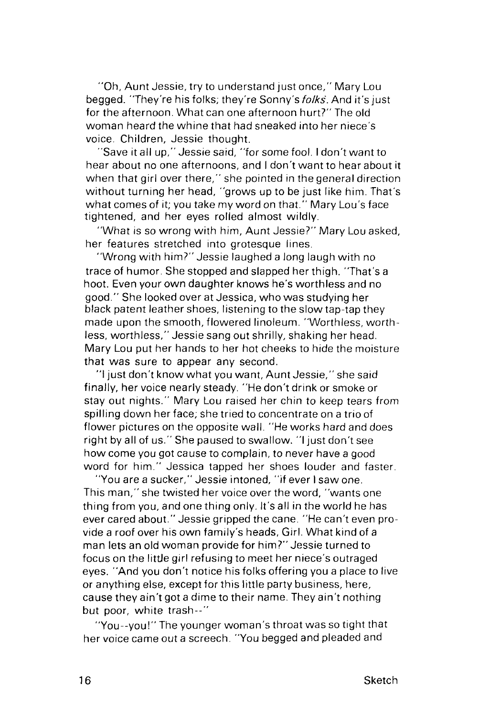"Oh, Aunt Jessie, try to understand just once," Mary Lou begged. "They're his folks; they're Sonny's *folks*. And it's just for the afternoon. What can one afternoon hurt?" The old woman heard the whine that had sneaked into her niece's voice. Children, Jessie thought.

"Save it all up," Jessie said, "for some fool. I don't want to hear about no one afternoons, and I don't want to hear about it when that girl over there," she pointed in the general direction without turning her head, "grows up to be just like him. That's what comes of it; you take my word on that." Mary Lou's face tightened, and her eyes rolled almost wildly.

"What is so wrong with him, Aunt Jessie?" Mary Lou asked, her features stretched into grotesque lines.

"Wrong with him?" Jessie laughed a long laugh with no trace of humor. She stopped and slapped her thigh. "That's a hoot. Even your own daughter knows he's worthless and no good." She looked over at Jessica, who was studying her black patent leather shoes, listening to the slow tap-tap they made upon the smooth, flowered linoleum. "Worthless, worthless, worthless," Jessie sang out shrilly, shaking her head. Mary Lou put her hands to her hot cheeks to hide the moisture that was sure to appear any second.

"I just don't know what you want, Aunt Jessie," she said finally, her voice nearly steady. "He don't drink or smoke or stay out nights." Mary Lou raised her chin to keep tears from spilling down her face; she tried to concentrate on a trio of flower pictures on the opposite wall. "He works hard and does right by all of us." She paused to swallow. "I just don't see how come you got cause to complain, to never have a good word for him." Jessica tapped her shoes louder and faster.

"You are a sucker," Jessie intoned, "if ever I saw one. This man," she twisted her voice over the word, "wants one thing from you, and one thing only. It's all in the world he has ever cared about." Jessie gripped the cane. "He can't even provide a roof over his own family's heads, Girl. What kind of a man lets an old woman provide for him?" Jessie turned to focus on the little girl refusing to meet her niece's outraged eyes. "And you don't notice his folks offering you a place to live or anything else, except for this little party business, here, cause they ain't got a dime to their name. They ain't nothing but poor, white trash--"

"You--you!" The younger woman's throat was so tight that her voice came out a screech. "You begged and pleaded and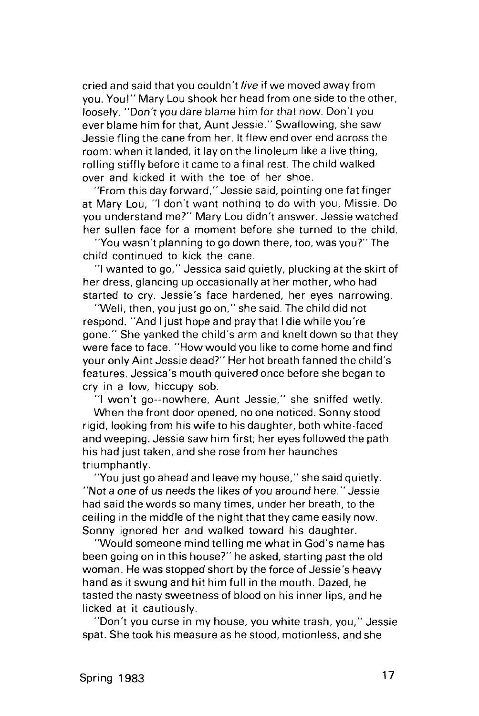cried and said that you couldn't live if we moved away from you. You!" Mary Lou shook her head from one side to the other, loosely. "Don't you dare blame him for that now. Don't you ever blame him for that, Aunt Jessie." Swallowing, she saw Jessie fling the cane from her. It flew end over end across the room: when it landed, it lay on the linoleum like a live thing, rolling stiffly before it came to a final rest. The child walked over and kicked it with the toe of her shoe.

"From this day forward," Jessie said, pointing one fat finger at Mary Lou, "I don't want nothing to do with you, Missie. Do you understand me?" Mary Lou didn't answer. Jessie watched her sullen face for a moment before she turned to the child.

"You wasn't planning to go down there, too, was you?" The child continued to kick the cane.

"I wanted to go," Jessica said quietly, plucking at the skirt of her dress, glancing up occasionally at her mother, who had started to cry. Jessie's face hardened, her eyes narrowing.

"Well, then, you just go on," she said. The child did not respond. "And I just hope and pray that I die while you're gone." She yanked the child's arm and knelt down so that they were face to face. "How would you like to come home and find your only Aint Jessie dead?" Her hot breath fanned the child's features. Jessica's mouth quivered once before she began to cry in a low, hiccupy sob.

"I won't go--nowhere, Aunt Jessie," she sniffed wetly.

When the front door opened, no one noticed. Sonny stood rigid, looking from his wife to his daughter, both white-faced and weeping. Jessie saw him first; her eyes followed the path his had just taken, and she rose from her haunches triumphantly.

"You just go ahead and leave my house," she said quietly. "Not a one of us needs the likes of you around here." Jessie had said the words so many times, under her breath, to the ceiling in the middle of the night that they came easily now. Sonny ignored her and walked toward his daughter.

"Would someone mind telling me what in God's name has been going on in this house?" he asked, starting past the old woman. He was stopped short by the force of Jessie's heavy hand as it swung and hit him full in the mouth. Dazed, he tasted the nasty sweetness of blood on his inner lips, and he licked at it cautiously.

"Don't you curse in my house, you white trash, you," Jessie spat. She took his measure as he stood, motionless, and she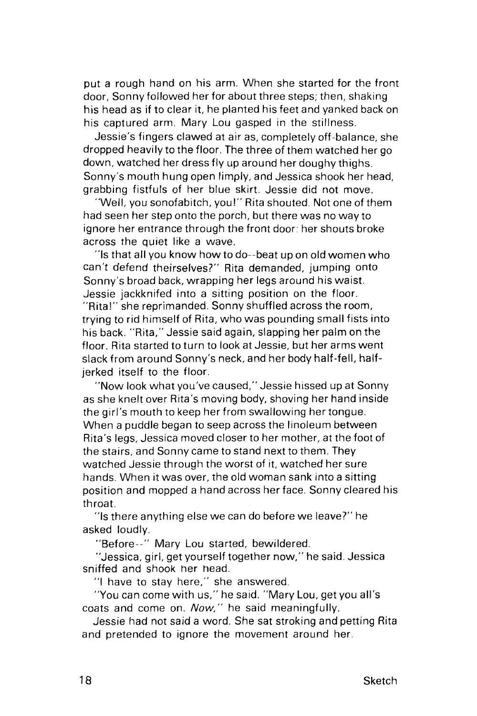put a rough hand on his arm. When she started for the front door, Sonny followed her for about three steps; then, shaking his head as if to clear it, he planted his feet and yanked back on his captured arm. Mary Lou gasped in the stillness.

Jessie's fingers clawed at air as, completely off-balance, she dropped heavily to the floor. The three of them watched her go down, watched her dress fly up around her doughy thighs. Sonny's mouth hung open limply, and Jessica shook her head, grabbing fistfuls of her blue skirt. Jessie did not move.

"Well, you sonofabitch, you!" Rita shouted. Not one of them had seen her step onto the porch, but there was no way to ignore her entrance through the front door: her shouts broke across the quiet like a wave.

"Is that all you know how to do--beat up on old women who can't defend theirselves?" Rita demanded, jumping onto Sonny's broad back, wrapping her legs around his waist. Jessie jackknifed into a sitting position on the floor. "Rita!" she reprimanded. Sonny shuffled across the room, trying to rid himself of Rita, who was pounding small fists into his back. "Rita," Jessie said again, slapping her palm on the floor. Rita started to turn to look at Jessie, but her arms went slack from around Sonny's neck, and her body half-fell, halfjerked itself to the floor.

"Now look what you've caused," Jessie hissed up at Sonny as she knelt over Rita's moving body, shoving her hand inside the girl's mouth to keep her from swallowing her tongue. When a puddle began to seep across the linoleum between Rita's legs, Jessica moved closer to her mother, at the foot of the stairs, and Sonny came to stand next to them. They watched Jessie through the worst of it, watched her sure hands. When it was over, the old woman sank into a sitting position and mopped a hand across her face. Sonny cleared his throat.

"Is there anything else we can do before we leave?" he asked loudly.

"Before--" Mary Lou started, bewildered.

"Jessica, girl, get yourself together now," he said. Jessica sniffed and shook her head.

"I have to stay here," she answered.

"You can come with us," he said. "Mary Lou, get you all's coats and come on. Now," he said meaningfully.

Jessie had not said a word. She sat stroking and petting Rita and pretended to ignore the movement around her.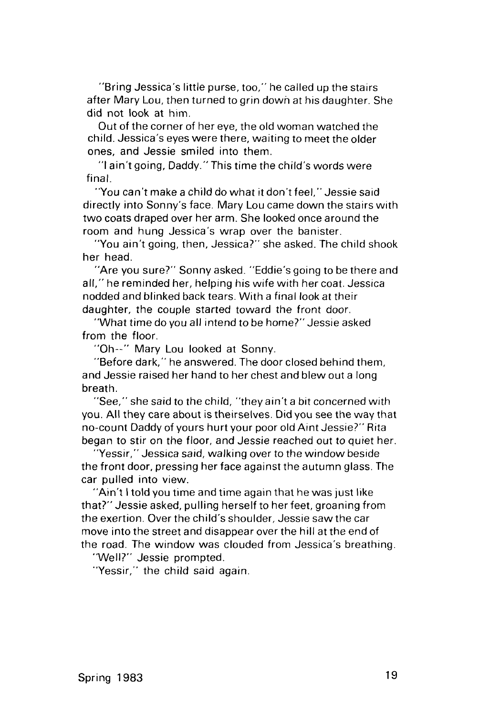"Bring Jessica's little purse, too," he called up the stairs after Mary Lou, then turned to grin down at his daughter. She did not look at him.

Out of the corner of her eye, the old woman watched the child. Jessica's eyes were there, waiting to meet the older ones, and Jessie smiled into them.

"I ain't going, Daddy." This time the child's words were final.

"You can't make a child do what it don't feel," Jessie said directly into Sonny's face. Mary Lou came down the stairs with two coats draped over her arm. She looked once around the room and hung Jessica's wrap over the banister.

"You ain't going, then, Jessica?" she asked. The child shook her head.

"Are you sure?" Sonny asked. "Eddie's going to be there and all," he reminded her, helping his wife with her coat. Jessica nodded and blinked back tears. With a final look at their daughter, the couple started toward the front door.

"What time do you all intend to be home?" Jessie asked from the floor.

"Oh--" Mary Lou looked at Sonny.

"Before dark," he answered. The door closed behind them, and Jessie raised her hand to her chest and blew out a long breath.

"See," she said to the child, "they ain't a bit concerned with you. All they care about is theirselves. Did you see the way that no-count Daddy of yours hurt your poor old Aint Jessie?" Rita began to stir on the floor, and Jessie reached out to quiet her.

"Yessir," Jessica said, walking over to the window beside the front door, pressing her face against the autumn glass. The car pulled into view.

"Ain't I told you time and time again that he was just like that?" Jessie asked, pulling herself to her feet, groaning from the exertion. Over the child's shoulder, Jessie saw the car move into the street and disappear over the hill at the end of the road. The window was clouded from Jessica's breathing.

"Well?" Jessie prompted.

"Yessir," the child said again.